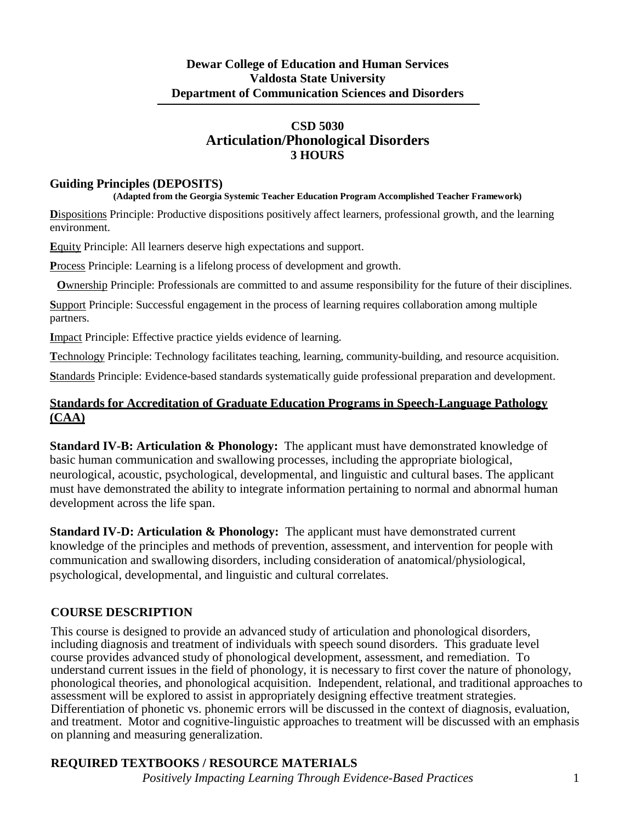### **CSD 5030 Articulation/Phonological Disorders 3 HOURS**

#### **Guiding Principles (DEPOSITS)**

#### **(Adapted from the Georgia Systemic Teacher Education Program Accomplished Teacher Framework)**

**D**ispositions Principle: Productive dispositions positively affect learners, professional growth, and the learning environment.

**E**quity Principle: All learners deserve high expectations and support.

**P**rocess Principle: Learning is a lifelong process of development and growth.

**O**wnership Principle: Professionals are committed to and assume responsibility for the future of their disciplines.

**S**upport Principle: Successful engagement in the process of learning requires collaboration among multiple partners.

**I**mpact Principle: Effective practice yields evidence of learning.

**T**echnology Principle: Technology facilitates teaching, learning, community-building, and resource acquisition.

**S**tandards Principle: Evidence-based standards systematically guide professional preparation and development.

### **Standards for Accreditation of Graduate Education Programs in Speech-Language Pathology (CAA)**

**Standard IV-B: Articulation & Phonology:** The applicant must have demonstrated knowledge of basic human communication and swallowing processes, including the appropriate biological, neurological, acoustic, psychological, developmental, and linguistic and cultural bases. The applicant must have demonstrated the ability to integrate information pertaining to normal and abnormal human development across the life span.

**Standard IV-D: Articulation & Phonology:** The applicant must have demonstrated current knowledge of the principles and methods of prevention, assessment, and intervention for people with communication and swallowing disorders, including consideration of anatomical/physiological, psychological, developmental, and linguistic and cultural correlates.

### **COURSE DESCRIPTION**

This course is designed to provide an advanced study of articulation and phonological disorders, including diagnosis and treatment of individuals with speech sound disorders. This graduate level course provides advanced study of phonological development, assessment, and remediation. To understand current issues in the field of phonology, it is necessary to first cover the nature of phonology, phonological theories, and phonological acquisition. Independent, relational, and traditional approaches to assessment will be explored to assist in appropriately designing effective treatment strategies. Differentiation of phonetic vs. phonemic errors will be discussed in the context of diagnosis, evaluation, and treatment. Motor and cognitive-linguistic approaches to treatment will be discussed with an emphasis on planning and measuring generalization.

# **REQUIRED TEXTBOOKS / RESOURCE MATERIALS**

*Positively Impacting Learning Through Evidence-Based Practices* 1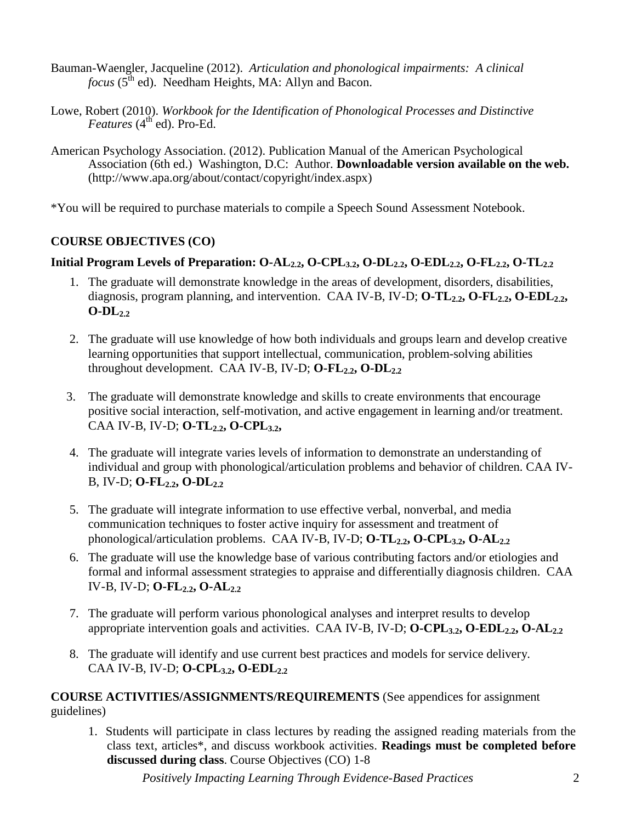- Bauman-Waengler, Jacqueline (2012). *Articulation and phonological impairments: A clinical*  focus (5<sup>th</sup> ed). Needham Heights, MA: Allyn and Bacon.
- Lowe, Robert (2010). *Workbook for the Identification of Phonological Processes and Distinctive Features* (4<sup>th'</sup> ed). Pro-Ed.
- American Psychology Association. (2012). Publication Manual of the American Psychological Association (6th ed.) Washington, D.C: Author. **Downloadable version available on the web.**  [\(http://www.apa.org/about/contact/copyright/index.aspx\)](http://www.apa.org/about/contact/copyright/index.aspx))

\*You will be required to purchase materials to compile a Speech Sound Assessment Notebook.

### **COURSE OBJECTIVES (CO)**

### **Initial Program** Levels of Preparation:  $O-AL_{2,2}$ ,  $O-CPL_{3,2}$ ,  $O-DL_{2,2}$ ,  $O-EDL_{2,2}$ ,  $O-FL_{2,2}$ ,  $O-TL_{2,2}$

- 1. The graduate will demonstrate knowledge in the areas of development, disorders, disabilities, diagnosis, program planning, and intervention. CAA IV-B, IV-D; **O-TL<sub>2.2</sub>, O-FL<sub>2.2</sub>, O-EDL**<sub>2.2</sub>,  $O-DL_{2,2}$
- 2. The graduate will use knowledge of how both individuals and groups learn and develop creative learning opportunities that support intellectual, communication, problem-solving abilities throughout development. CAA IV-B, IV-D;  $O\text{-}FL_{2,2}$ ,  $O\text{-}DL_{2,2}$
- 3. The graduate will demonstrate knowledge and skills to create environments that encourage positive social interaction, self-motivation, and active engagement in learning and/or treatment. CAA IV-B, IV-D; **O-TL2.2, O-CPL3.2,**
- 4. The graduate will integrate varies levels of information to demonstrate an understanding of individual and group with phonological/articulation problems and behavior of children. CAA IV-B, IV-D; **O-FL2.2, O-DL2.2**
- 5. The graduate will integrate information to use effective verbal, nonverbal, and media communication techniques to foster active inquiry for assessment and treatment of phonological/articulation problems. CAA IV-B, IV-D; **O-TL<sub>2.2</sub>, O-CPL<sub>3.2</sub>, O-AL**<sub>2.2</sub>
- 6. The graduate will use the knowledge base of various contributing factors and/or etiologies and formal and informal assessment strategies to appraise and differentially diagnosis children. CAA IV-B, IV-D; **O-FL2.2, O-AL2.2**
- 7. The graduate will perform various phonological analyses and interpret results to develop appropriate intervention goals and activities. CAA IV-B, IV-D; **O-CPL<sub>3.2</sub>, O-EDL<sub>2.2</sub>, O-AL**<sub>2.2</sub>
- 8. The graduate will identify and use current best practices and models for service delivery. CAA IV-B, IV-D; **O-CPL<sub>3.2</sub>, O-EDL**<sub>2.2</sub>

**COURSE ACTIVITIES/ASSIGNMENTS/REQUIREMENTS** (See appendices for assignment guidelines)

1. Students will participate in class lectures by reading the assigned reading materials from the class text, articles\*, and discuss workbook activities. **Readings must be completed before discussed during class**. Course Objectives (CO) 1-8

*Positively Impacting Learning Through Evidence-Based Practices* 2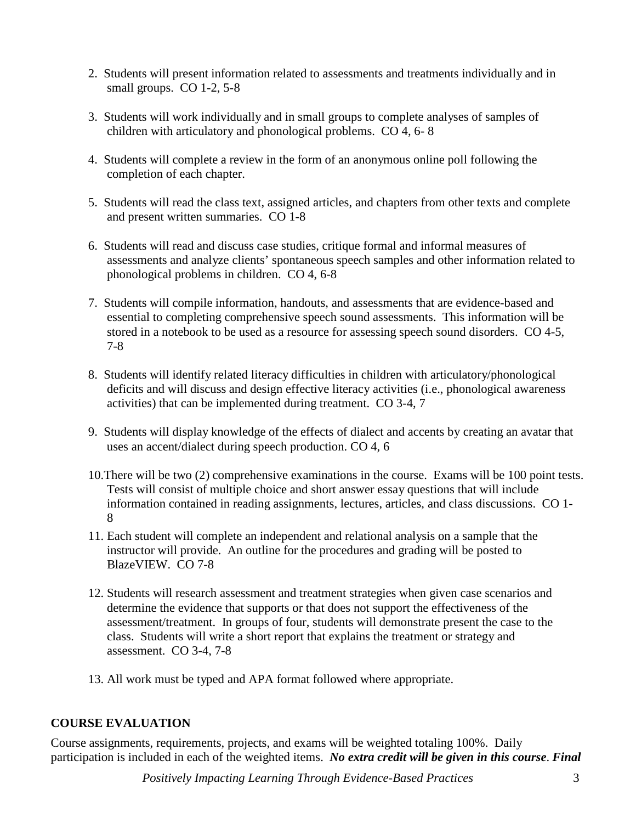- 2. Students will present information related to assessments and treatments individually and in small groups. CO 1-2, 5-8
- 3. Students will work individually and in small groups to complete analyses of samples of children with articulatory and phonological problems. CO 4, 6- 8
- 4. Students will complete a review in the form of an anonymous online poll following the completion of each chapter.
- 5. Students will read the class text, assigned articles, and chapters from other texts and complete and present written summaries. CO 1-8
- 6. Students will read and discuss case studies, critique formal and informal measures of assessments and analyze clients' spontaneous speech samples and other information related to phonological problems in children. CO 4, 6-8
- 7. Students will compile information, handouts, and assessments that are evidence-based and essential to completing comprehensive speech sound assessments. This information will be stored in a notebook to be used as a resource for assessing speech sound disorders. CO 4-5, 7-8
- 8. Students will identify related literacy difficulties in children with articulatory/phonological deficits and will discuss and design effective literacy activities (i.e., phonological awareness activities) that can be implemented during treatment. CO 3-4, 7
- 9. Students will display knowledge of the effects of dialect and accents by creating an avatar that uses an accent/dialect during speech production. CO 4, 6
- 10.There will be two (2) comprehensive examinations in the course. Exams will be 100 point tests. Tests will consist of multiple choice and short answer essay questions that will include information contained in reading assignments, lectures, articles, and class discussions. CO 1- 8
- 11. Each student will complete an independent and relational analysis on a sample that the instructor will provide. An outline for the procedures and grading will be posted to BlazeVIEW. CO 7-8
- 12. Students will research assessment and treatment strategies when given case scenarios and determine the evidence that supports or that does not support the effectiveness of the assessment/treatment. In groups of four, students will demonstrate present the case to the class. Students will write a short report that explains the treatment or strategy and assessment. CO 3-4, 7-8
- 13. All work must be typed and APA format followed where appropriate.

## **COURSE EVALUATION**

Course assignments, requirements, projects, and exams will be weighted totaling 100%. Daily participation is included in each of the weighted items. *No extra credit will be given in this course*. *Final*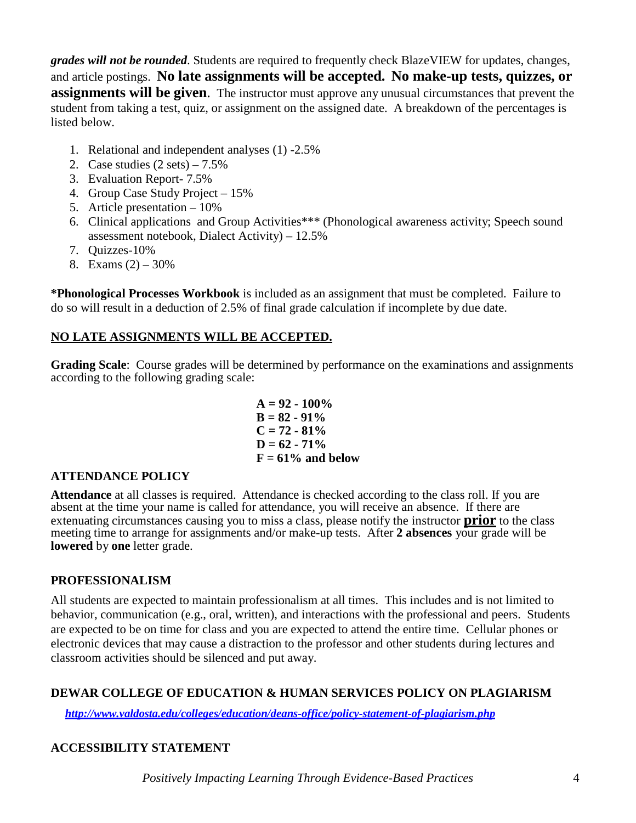*grades will not be rounded*. Students are required to frequently check BlazeVIEW for updates, changes, and article postings. **No late assignments will be accepted. No make-up tests, quizzes, or assignments will be given**. The instructor must approve any unusual circumstances that prevent the student from taking a test, quiz, or assignment on the assigned date. A breakdown of the percentages is listed below.

- 1. Relational and independent analyses (1) -2.5%
- 2. Case studies  $(2 \text{ sets}) 7.5\%$
- 3. Evaluation Report- 7.5%
- 4. Group Case Study Project 15%
- 5. Article presentation 10%
- 6. Clinical applications and Group Activities\*\*\* (Phonological awareness activity; Speech sound assessment notebook, Dialect Activity) – 12.5%
- 7. Quizzes-10%
- 8. Exams  $(2) 30\%$

**\*Phonological Processes Workbook** is included as an assignment that must be completed. Failure to do so will result in a deduction of 2.5% of final grade calculation if incomplete by due date.

## **NO LATE ASSIGNMENTS WILL BE ACCEPTED.**

**Grading Scale**: Course grades will be determined by performance on the examinations and assignments according to the following grading scale:

$$
A = 92 - 100\%
$$
  
B = 82 - 91%  
C = 72 - 81%  
D = 62 - 71%  
F = 61% and below

### **ATTENDANCE POLICY**

**Attendance** at all classes is required. Attendance is checked according to the class roll. If you are absent at the time your name is called for attendance, you will receive an absence. If there are extenuating circumstances causing you to miss a class, please notify the instructor **prior** to the class meeting time to arrange for assignments and/or make-up tests. After **2 absences** your grade will be **lowered** by **one** letter grade.

### **PROFESSIONALISM**

All students are expected to maintain professionalism at all times. This includes and is not limited to behavior, communication (e.g., oral, written), and interactions with the professional and peers. Students are expected to be on time for class and you are expected to attend the entire time. Cellular phones or electronic devices that may cause a distraction to the professor and other students during lectures and classroom activities should be silenced and put away.

## **DEWAR COLLEGE OF EDUCATION & HUMAN SERVICES POLICY ON PLAGIARISM**

*<http://www.valdosta.edu/colleges/education/deans-office/policy-statement-of-plagiarism.php>*

## **ACCESSIBILITY STATEMENT**